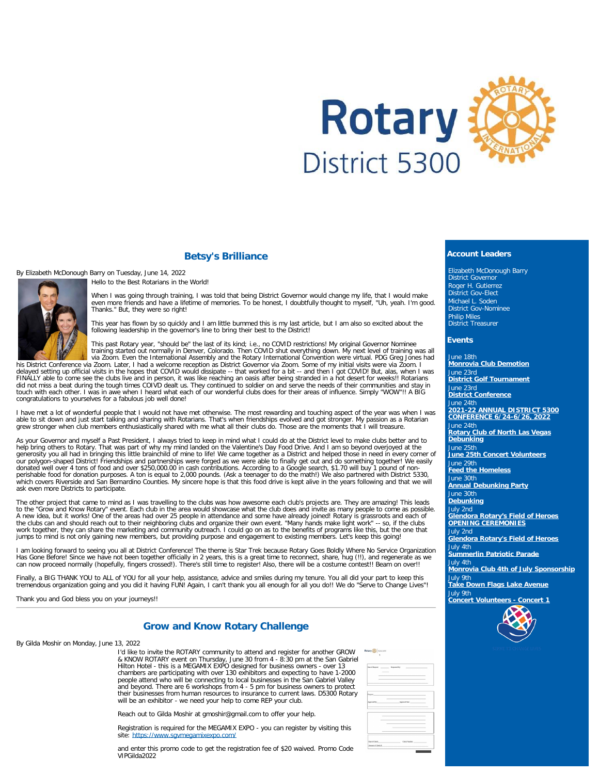

### **Betsy's Brilliance**

By Elizabeth McDonough Barry on Tuesday, June 14, 2022





When I was going through training, I was told that being District Governor would change my life, that I would make<br>even more friends and have a lifetime of memories. To be honest, I doubtfully thought to myself, "Uh, yeah. Thanks." But, they were so right!

This year has flown by so quickly and I am little bummed this is my last article, but I am also so excited about the following leadership in the governor's line to bring their best to the District!

This past Rotary year, "should be" the last of its kind; i.e., no COVID restrictions! My original Governor Nominee<br>training started out normally in Denver, Colorado. Then COVID shut everything down. My next level of traini

his District Conference via Zoom. Later, I had a welcome reception as District Governor via Zoom. Some of my initial visits were via Zoom. I<br>delayed setting up official visits in the hopes that COVID would dissipate -- tha congratulations to yourselves for a fabulous job well done!

I have met a lot of wonderful people that I would not have met otherwise. The most rewarding and touching aspect of the year was when I was able to sit down and just start talking and sharing with Rotarians. That's when friendships evolved and got stronger. My passion as a Rotarian<br>grew stronger when club members enthusiastically shared with me what all their

As your Governor and myself a Past President, I always tried to keep in mind what I could do at the District level to make clubs better and to<br>help bring others to Rotary. That was part of why my mind landed on the Valenti our polygon-shaped District! Friendships and partnerships were forged as we were able to finally get out and do something together! We easily donated well over 4 tons of food and over \$250,000.00 in cash contributions. According to a Google search, \$1.70 will buy 1 pound of non-<br>perishable food for donation purposes. A ton is equal to 2,000 pounds. (Ask a teenag ask even more Districts to participate.

The other project that came to mind as I was travelling to the clubs was how awesome each club's projects are. They are amazing! This leads<br>to the "Grow and Know Rotary" event. Each club in the area would showcase what the the clubs can and should reach out to their neighboring clubs and organize their own event. "Many hands make light work" -- so, if the clubs<br>work together, they can share the marketing and community outreach. I could go on jumps to mind is not only gaining new members, but providing purpose and engagement to existing members. Let's keep this going!

I am looking forward to seeing you all at District Conference! The theme is Star Trek because Rotary Goes Boldly Where No Service Organization Has Gone Before! Since we have not been together officially in 2 years, this is a great time to reconnect, share, hug (!!), and regenerate as we<br>can now proceed normally (hopefully, fingers crossed!). There's still time to

Finally, a BIG THANK YOU to ALL of YOU for all your help, assistance, advice and smiles during my tenure. You all did your part to keep this<br>tremendous organization going and you did it having FUN! Again, I can't thank you

Thank you and God bless you on your journeys!!

# **Grow and Know Rotary Challenge**

By Gilda Moshir on Monday, June 13, 2022

I'd like to invite the ROTARY community to attend and register for another GROW & KNOW ROTARY event on Thursday, June 30 from 4 - 8:30 pm at the San Gabriel<br>Hilton Hotel - this is a MEGAMIX EXPO designed for business owners - over 13<br>chambers are participating with over 130 exhibitors and expecting to people attend who will be connecting to local businesses in the San Gabriel Valley and beyond. There are 6 workshops from 4 - 5 pm for business owners to protect their businesses from human resources to insurance to current laws. D5300 Rotary will be an exhibitor - we need your help to come REP your club.

Reach out to Gilda Moshir at gmoshir@gmail.com to offer your help.

Registration is required for the MEGAMIX EXPO - you can register by visiting this site: https://www.savn

and enter this promo code to get the registration fee of \$20 waived. Promo Code VIPGilda2022

| Date of Request 2000 and 2000 and 2000 and 2000 and 2000 and 2000 and 2000 and 2000 and 2000 and 200<br>$\sim$ | the contract of the contract of                                                                                 |  |
|----------------------------------------------------------------------------------------------------------------|-----------------------------------------------------------------------------------------------------------------|--|
|                                                                                                                |                                                                                                                 |  |
|                                                                                                                |                                                                                                                 |  |
|                                                                                                                |                                                                                                                 |  |
|                                                                                                                | Paryane and the contract of the contract of the contract of the contract of the contract of the contract of the |  |
|                                                                                                                | the contract of the contract of the contract of<br>Approved By: Approval Date: Approval Date:                   |  |
|                                                                                                                |                                                                                                                 |  |
|                                                                                                                |                                                                                                                 |  |
|                                                                                                                | the contract of the contract of the contract of the contract of                                                 |  |
|                                                                                                                |                                                                                                                 |  |
|                                                                                                                |                                                                                                                 |  |
|                                                                                                                |                                                                                                                 |  |
|                                                                                                                |                                                                                                                 |  |
|                                                                                                                | Date of Check Number Check Number                                                                               |  |

### **Account Leaders**

Elizabeth McDonough Barry District Governor Roger H. Gutierrez District Gov-Elect Michael L. Soden District Gov-Nominee Philip Miles District Treasurer

#### **Events**

June 18th **[Monrovia Club Demotion](https://ismyrotaryclub.com/wp_api_prod_1-1/R_Event.cfm?fixTables=0&fixImages=0&EventID=77582011)** June 23rd **[District Golf Tournament](https://ismyrotaryclub.com/wp_api_prod_1-1/R_Event.cfm?fixTables=0&fixImages=0&EventID=77586979)** June 23rd **[District Conference](https://ismyrotaryclub.com/wp_api_prod_1-1/R_Event.cfm?fixTables=0&fixImages=0&EventID=77584594)** June 24th **[2021-22 ANNUAL DISTRICT 5300](https://ismyrotaryclub.com/wp_api_prod_1-1/R_Event.cfm?fixTables=0&fixImages=0&EventID=77574804) [CONFERENCE 6/24-6/26, 2022](https://ismyrotaryclub.com/wp_api_prod_1-1/R_Event.cfm?fixTables=0&fixImages=0&EventID=77574804)** June 24th **[Rotary Club of North Las Vegas](https://ismyrotaryclub.com/wp_api_prod_1-1/R_Event.cfm?fixTables=0&fixImages=0&EventID=77593896) [Debunking](https://ismyrotaryclub.com/wp_api_prod_1-1/R_Event.cfm?fixTables=0&fixImages=0&EventID=77593896)** June 25th **[June 25th Concert Volunteers](https://ismyrotaryclub.com/wp_api_prod_1-1/R_Event.cfm?fixTables=0&fixImages=0&EventID=77596656)** June 29th **[Feed the Homeless](https://ismyrotaryclub.com/wp_api_prod_1-1/R_Event.cfm?fixTables=0&fixImages=0&EventID=77593516)** June 30th **[Annual Debunking Party](https://ismyrotaryclub.com/wp_api_prod_1-1/R_Event.cfm?fixTables=0&fixImages=0&EventID=77540622)** June 30th **[Debunking](https://ismyrotaryclub.com/wp_api_prod_1-1/R_Event.cfm?fixTables=0&fixImages=0&EventID=77597064)** July 2nd **[Glendora Rotary's Field of Heroes](https://ismyrotaryclub.com/wp_api_prod_1-1/R_Event.cfm?fixTables=0&fixImages=0&EventID=77590270) [OPENING CEREMONIES](https://ismyrotaryclub.com/wp_api_prod_1-1/R_Event.cfm?fixTables=0&fixImages=0&EventID=77590270)** July 2nd **[Glendora Rotary's Field of Heroes](https://ismyrotaryclub.com/wp_api_prod_1-1/R_Event.cfm?fixTables=0&fixImages=0&EventID=77590269)** July 4th **[Summerlin Patriotic Parade](https://ismyrotaryclub.com/wp_api_prod_1-1/R_Event.cfm?fixTables=0&fixImages=0&EventID=77593070)** July 4th **[Monrovia Club 4th of July Sponsorship](https://ismyrotaryclub.com/wp_api_prod_1-1/R_Event.cfm?fixTables=0&fixImages=0&EventID=77583038)** July 9th **[Take Down Flags Lake Avenue](https://ismyrotaryclub.com/wp_api_prod_1-1/R_Event.cfm?fixTables=0&fixImages=0&EventID=77597363)** July 9th **[Concert Volunteers - Concert 1](https://ismyrotaryclub.com/wp_api_prod_1-1/R_Event.cfm?fixTables=0&fixImages=0&EventID=77597459)**

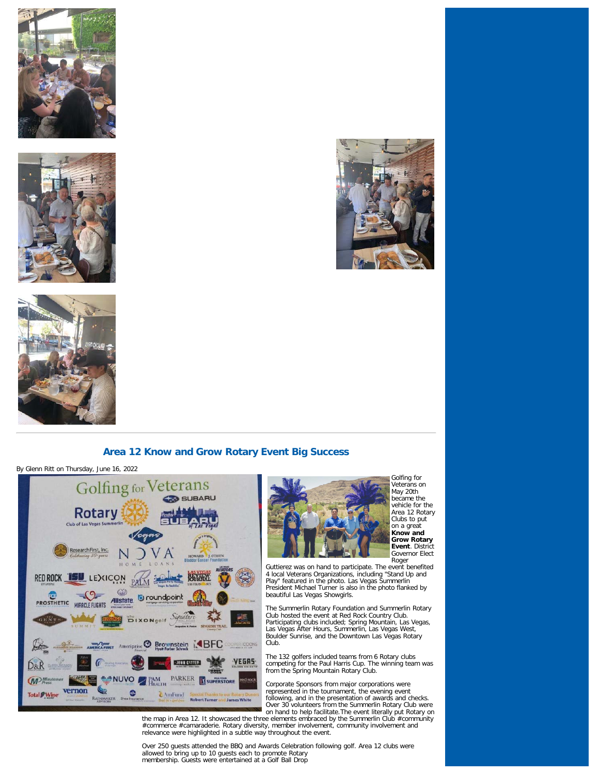







# **Area 12 Know and Grow Rotary Event Big Success**

By Glenn Ritt on Thursday, June 16, 2022





Golfing for Veterans on May 20th became the vehicle for the Area 12 Rotary Clubs to put on a great **Know and Grow Rotary Event**. District Governor Elect Roger

Guttierez was on hand to participate. The event benefited 4 local Veterans Organizations, including "Stand Up and Play" featured in the photo. Las Vegas Summerlin President Michael Turner is also in the photo flanked by beautiful Las Vegas Showgirls.

The Summerlin Rotary Foundation and Summerlin Rotary Club hosted the event at Red Rock Country Club. Participating clubs included; Spring Mountain, Las Vegas, Las Vegas After Hours, Summerlin, Las Vegas West, Boulder Sunrise, and the Downtown Las Vegas Rotary Club.

The 132 golfers included teams from 6 Rotary clubs competing for the Paul Harris Cup. The winning team was from the Spring Mountain Rotary Club.

Corporate Sponsors from major corporations were represented in the tournament, the evening event following, and in the presentation of awards and checks. Over 30 volunteers from the Summerlin Rotary Club were on hand to help facilitate.The event literally put Rotary on

the map in Area 12. It showcased the three elements embraced by the Summerlin Club #community #commerce #camaraderie. Rotary diversity, member involvement, community involvement and relevance were highlighted in a subtle way throughout the event.

Over 250 guests attended the BBQ and Awards Celebration following golf. Area 12 clubs were allowed to bring up to 10 guests each to promote Rotary membership. Guests were entertained at a Golf Ball Drop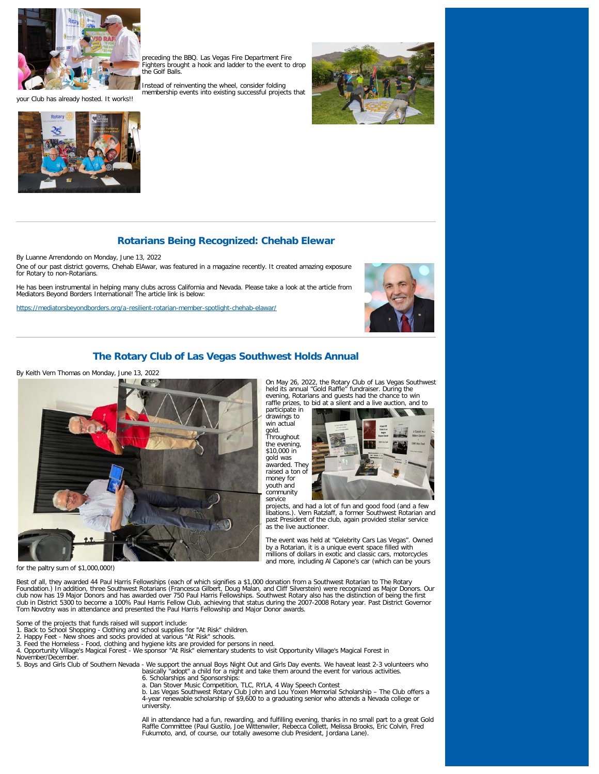

your Club has already hosted. It works!!



preceding the BBQ. Las Vegas Fire Department Fire Fighters brought a hook and ladder to the event to drop the Golf Balls.

Instead of reinventing the wheel, consider folding membership events into existing successful projects that



# **Rotarians Being Recognized: Chehab Elewar**

By Luanne Arrendondo on Monday, June 13, 2022 One of our past district governs, Chehab ElAwar, was featured in a magazine recently. It created amazing exposure for Rotary to non-Rotarians.

He has been instrumental in helping many clubs across California and Nevada. Please take a look at the article from Mediators Beyond Borders International! The article link is below:

<https://mediatorsbeyondborders.org/a-resilient-rotarian-member-spotlight-chehab-elawar/>



On May 26, 2022, the Rotary Club of Las Vegas Southwest held its annual "Gold Raffle" fundraiser. During the evening, Rotarians and guests had the chance to win raffle prizes, to bid at a silent and a live auction, and to

service projects, and had a lot of fun and good food (and a few libations.). Vern Ratzlaff, a former Southwest Rotarian and past President of the club, again provided stellar service

The event was held at "Celebrity Cars Las Vegas". Owned by a Rotarian, it is a unique event space filled with millions of dollars in exotic and classic cars, motorcycles and more, including Al Capone's car (which can be yours

## **The Rotary Club of Las Vegas Southwest Holds Annual**

### By Keith Vern Thomas on Monday, June 13, 2022



for the paltry sum of \$1,000,000!)

Best of all, they awarded 44 Paul Harris Fellowships (each of which signifies a \$1,000 donation from a Southwest Rotarian to The Rotary<br>Foundation.) In addition, three Southwest Rotarians (Francesca Gilbert, Doug Malan, an club now has 19 Major Donors and has awarded over 750 Paul Harris Fellowships. Southwest Rotary also has the distinction of being the first<br>club in District 5300 to become a 100% Paul Harris Fellow Club, achieving that sta Tom Novotny was in attendance and presented the Paul Harris Fellowship and Major Donor awards.

Some of the projects that funds raised will support include:

- 1. Back to School Shopping Clothing and school supplies for "At Risk" children. 2. Happy Feet New shoes and socks provided at various "At Risk" schools.
- 
- 

3. Feed the Homeless - Food, clothing and hygiene kits are provided for persons in need. 4. Opportunity Village's Magical Forest - We sponsor "At Risk" elementary students to visit Opportunity Village's Magical Forest in November/December.

5. Boys and Girls Club of Southern Nevada - We support the annual Boys Night Out and Girls Day events. We haveat least 2-3 volunteers who<br>basically "adopt" a child for a night and take them around the event for various act

- 
- 

6. Scholarships and Sponsorships:<br>a. Dan Stover Music Competition, TLC, RYLA, 4 Way Speech Contest<br>b. Las Vegas Southwest Rotary Club John and Lou Yoxen Memorial Scholarship – The Club offers a 4-year renewable scholarship of \$9,600 to a graduating senior who attends a Nevada college or university.

participate in drawings to win actual gold. **Throughout** the evening, \$10,000 in gold was awarded. They raised a ton of money for youth and community<br>service

as the live auctioneer.

All in attendance had a fun, rewarding, and fulfilling evening, thanks in no small part to a great Gold<br>Raffle Committee (Paul Gustilo, Joe Wittenwiler, Rebecca Collett, Melissa Brooks, Eric Colvin, Fred<br>Fukumoto, and, of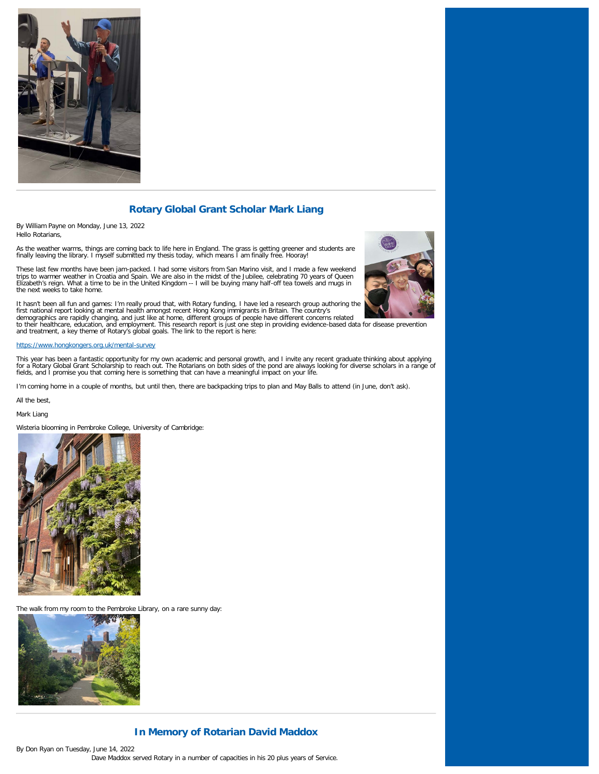

# **Rotary Global Grant Scholar Mark Liang**

By William Payne on Monday, June 13, 2022 Hello Rotarians,

As the weather warms, things are coming back to life here in England. The grass is getting greener and students are finally leaving the library. I myself submitted my thesis today, which means I am finally free. Hooray!

These last few months have been jam-packed. I had some visitors from San Marino visit, and I made a few weekend<br>trips to warmer weather in Croatia and Spain. We are also in the midst of the Jubilee, celebrating 70 years of Elizabeth's reign. What a time to be in the United Kingdom -- I will be buying many half-off tea towels and mugs in the next weeks to take home.



It hasn't been all fun and games: I'm really proud that, with Rotary funding, I have led a research group authoring the<br>first national report looking at mental health amongst recent Hong Kong immigrants in Britain. The cou

#### <https://www.hongkongers.org.uk/mental-survey>

This year has been a fantastic opportunity for my own academic and personal growth, and I invite any recent graduate thinking about applying<br>for a Rotary Global Grant Scholarship to reach out. The Rotarians on both sides o

I'm coming home in a couple of months, but until then, there are backpacking trips to plan and May Balls to attend (in June, don't ask).

All the best,

Mark Liang

Wisteria blooming in Pembroke College, University of Cambridge:



The walk from my room to the Pembroke Library, on a rare sunny day:



## **In Memory of Rotarian David Maddox**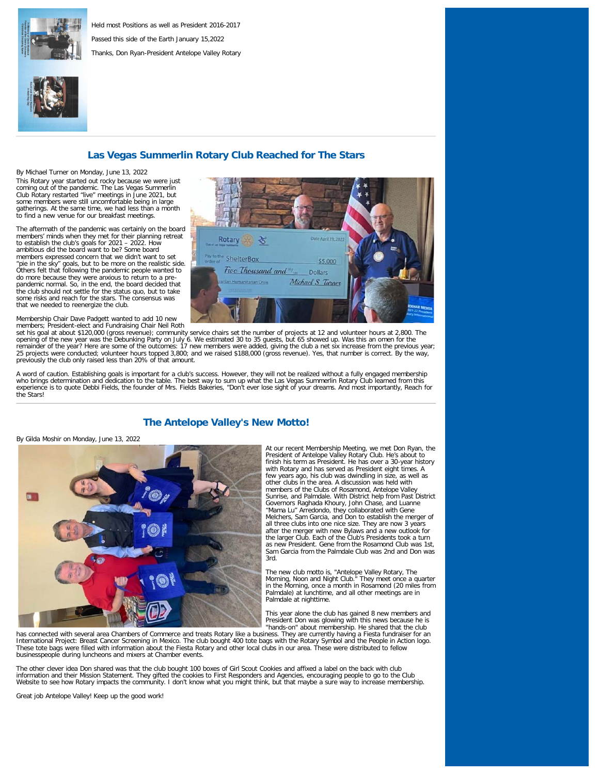

Held most Positions as well as President 2016-2017 Passed this side of the Earth January 15,2022 Thanks, Don Ryan-President Antelope Valley Rotary



## **Las Vegas Summerlin Rotary Club Reached for The Stars**

By Michael Turner on Monday, June 13, 2022 This Rotary year started out rocky because we were just coming out of the pandemic. The Las Vegas Summerlin Club Rotary restarted "live" meetings in June 2021, but some members were still uncomfortable being in large gatherings. At the same time, we had less than a month to find a new venue for our breakfast meetings.

The aftermath of the pandemic was certainly on the board members' minds when they met for their planning retreat to establish the club's goals for 2021 – 2022. How ambitious did the board want to be? Some board members expressed concern that we didn't want to set "pie in the sky" goals, but to be more on the realistic side. Others felt that following the pandemic people wanted to do more because they were anxious to return to a pre-pandemic normal. So, in the end, the board decided that the club should not settle for the status quo, but to take some risks and reach for the stars. The consensus was that we needed to reenergize the club.

Membership Chair Dave Padgett wanted to add 10 new

members; President-elect and Fundraising Chair Neil Roth<br>set his goal at about \$120,000 (gross revenue); community service chairs set the number of projects at 12 and volunteer hours at 2,800. The opening of the new year was the Debunking Party on July 6. We estimated 30 to 35 guests, but 65 showed up. Was this an omen for the remainder of the year? Here are some of the outcomes: 17 new members were added, giving the club a net six increase from the previous year;<br>25 projects were conducted; volunteer hours topped 3,800; and we raised \$188,000 ( previously the club only raised less than 20% of that amount.

A word of caution. Establishing goals is important for a club's success. However, they will not be realized without a fully engaged membership who brings determination and dedication to the table. The best way to sum up what the Las Vegas Summerlin Rotary Club learned from this<br>experience is to quote Debbi Fields, the founder of Mrs. Fields Bakeries, "Don't ever the Stars!

## **The Antelope Valley's New Motto!**

By Gilda Moshir on Monday, June 13, 2022



At our recent Membership Meeting, we met Don Ryan, the President of Antelope Valley Rotary Club. He's about to finish his term as President. He has over a 30-year history with Rotary and has served as President eight times. A few years ago, his club was dwindling in size, as well as other clubs in the area. A discussion was held with members of the Clubs of Rosamond, Antelope Valley Sunrise, and Palmdale. With District help from Past District Governors Raghada Khoury, John Chase, and Luanne "Mama Lu" Arredondo, they collaborated with Gene Melchers, Sam Garcia, and Don to establish the merger of all three clubs into one nice size. They are now 3 years after the merger with new Bylaws and a new outlook for the larger Club. Each of the Club's Presidents took a turn as new President. Gene from the Rosamond Club was 1st, Sam Garcia from the Palmdale Club was 2nd and Don was 3rd.

The new club motto is, "Antelope Valley Rotary, The Morning, Noon and Night Club." They meet once a quarter in the Morning, once a month in Rosamond (20 miles from Palmdale) at lunchtime, and all other meetings are in Palmdale at nighttime.

This year alone the club has gained 8 new members and President Don was glowing with this news because he is "hands-on" about membership. He shared that the club

has connected with several area Chambers of Commerce and treats Rotary like a business. They are currently having a Fiesta fundraiser for an International Project: Breast Cancer Screening in Mexico. The club bought 400 tote bags with the Rotary Symbol and the People in Action logo.<br>These tote bags were filled with information about the Fiesta Rotary and other l businesspeople during luncheons and mixers at Chamber events.

The other clever idea Don shared was that the club bought 100 boxes of Girl Scout Cookies and affixed a label on the back with club information and their Mission Statement. They gifted the cookies to First Responders and Agencies, encouraging people to go to the Club Website to see how Rotary impacts the community. I don't know what you might think, but that maybe a sure way to increase membership.

Great job Antelope Valley! Keep up the good work!